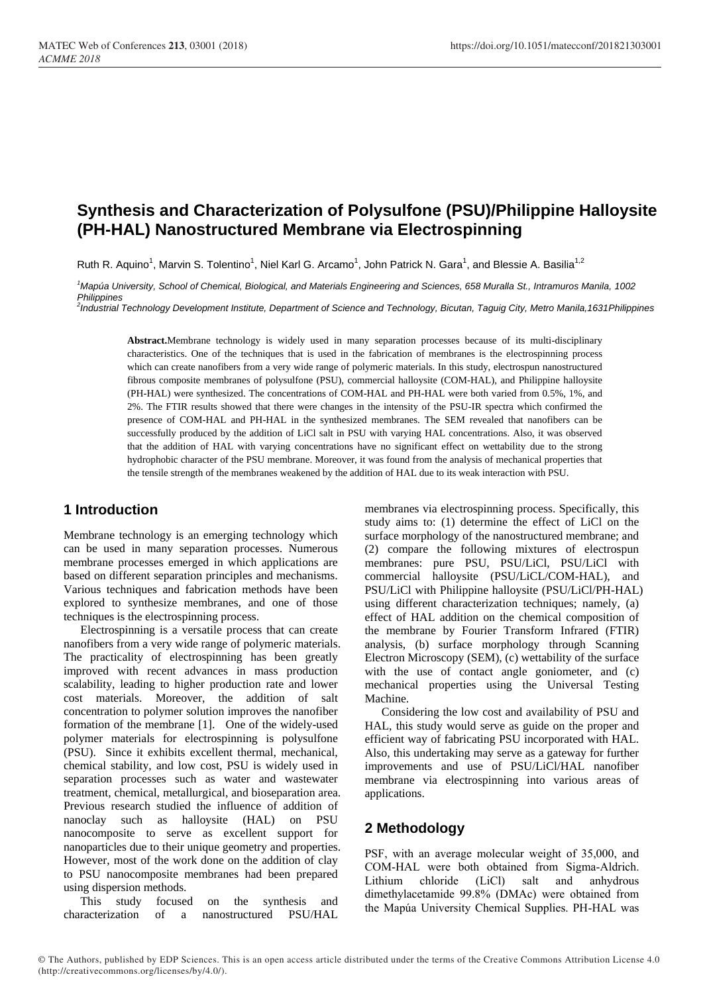# **Synthesis and Characterization of Polysulfone (PSU)/Philippine Halloysite (PH-HAL) Nanostructured Membrane via Electrospinning**

Ruth R. Aquino<sup>1</sup>, Marvin S. Tolentino<sup>1</sup>, Niel Karl G. Arcamo<sup>1</sup>, John Patrick N. Gara<sup>1</sup>, and Blessie A. Basilia<sup>1,2</sup>

*<sup>1</sup>Mapúa University, School of Chemical, Biological, and Materials Engineering and Sciences, 658 Muralla St., Intramuros Manila, 1002 Philippines*

*2 Industrial Technology Development Institute, Department of Science and Technology, Bicutan, Taguig City, Metro Manila,1631Philippines*

**Abstract.**Membrane technology is widely used in many separation processes because of its multi-disciplinary characteristics. One of the techniques that is used in the fabrication of membranes is the electrospinning process which can create nanofibers from a very wide range of polymeric materials. In this study, electrospun nanostructured fibrous composite membranes of polysulfone (PSU), commercial halloysite (COM-HAL), and Philippine halloysite (PH-HAL) were synthesized. The concentrations of COM-HAL and PH-HAL were both varied from 0.5%, 1%, and 2%. The FTIR results showed that there were changes in the intensity of the PSU-IR spectra which confirmed the presence of COM-HAL and PH-HAL in the synthesized membranes. The SEM revealed that nanofibers can be successfully produced by the addition of LiCl salt in PSU with varying HAL concentrations. Also, it was observed that the addition of HAL with varying concentrations have no significant effect on wettability due to the strong hydrophobic character of the PSU membrane. Moreover, it was found from the analysis of mechanical properties that the tensile strength of the membranes weakened by the addition of HAL due to its weak interaction with PSU.

### **1 Introduction**

Membrane technology is an emerging technology which can be used in many separation processes. Numerous membrane processes emerged in which applications are based on different separation principles and mechanisms. Various techniques and fabrication methods have been explored to synthesize membranes, and one of those techniques is the electrospinning process.

Electrospinning is a versatile process that can create nanofibers from a very wide range of polymeric materials. The practicality of electrospinning has been greatly improved with recent advances in mass production scalability, leading to higher production rate and lower cost materials. Moreover, the addition of salt concentration to polymer solution improves the nanofiber formation of the membrane [1]. One of the widely-used polymer materials for electrospinning is polysulfone (PSU). Since it exhibits excellent thermal, mechanical, chemical stability, and low cost, PSU is widely used in separation processes such as water and wastewater treatment, chemical, metallurgical, and bioseparation area. Previous research studied the influence of addition of nanoclay such as halloysite (HAL) on PSU nanocomposite to serve as excellent support for nanoparticles due to their unique geometry and properties. However, most of the work done on the addition of clay to PSU nanocomposite membranes had been prepared using dispersion methods.

This study focused on the synthesis and characterization of a nanostructured PSU/HAL

membranes via electrospinning process. Specifically, this study aims to: (1) determine the effect of LiCl on the surface morphology of the nanostructured membrane; and (2) compare the following mixtures of electrospun membranes: pure PSU, PSU/LiCl, PSU/LiCl with commercial halloysite (PSU/LiCL/COM-HAL), and PSU/LiCl with Philippine halloysite (PSU/LiCl/PH-HAL) using different characterization techniques; namely, (a) effect of HAL addition on the chemical composition of the membrane by Fourier Transform Infrared (FTIR) analysis, (b) surface morphology through Scanning Electron Microscopy (SEM), (c) wettability of the surface with the use of contact angle goniometer, and (c) mechanical properties using the Universal Testing Machine.

Considering the low cost and availability of PSU and HAL, this study would serve as guide on the proper and efficient way of fabricating PSU incorporated with HAL. Also, this undertaking may serve as a gateway for further improvements and use of PSU/LiCl/HAL nanofiber membrane via electrospinning into various areas of applications.

## **2 Methodology**

PSF, with an average molecular weight of 35,000, and COM-HAL were both obtained from Sigma-Aldrich. Lithium chloride (LiCl) salt and anhydrous dimethylacetamide 99.8% (DMAc) were obtained from the Mapúa University Chemical Supplies. PH-HAL was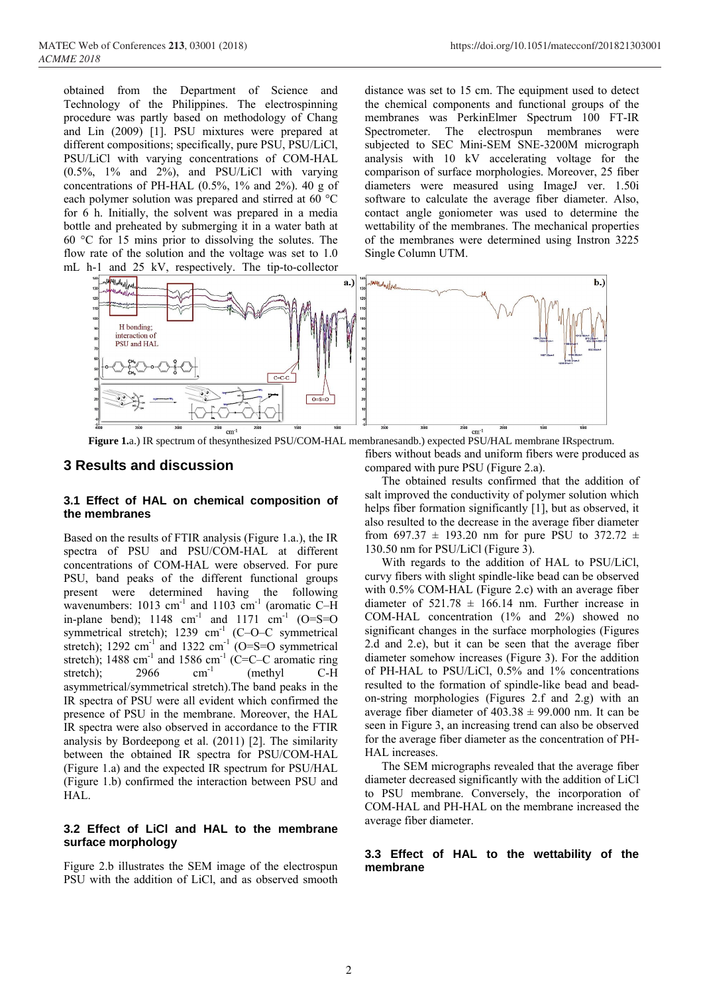obtained from the Department of Science and Technology of the Philippines. The electrospinning procedure was partly based on methodology of Chang and Lin (2009) [1]. PSU mixtures were prepared at different compositions; specifically, pure PSU, PSU/LiCl, PSU/LiCl with varying concentrations of COM-HAL (0.5%, 1% and 2%), and PSU/LiCl with varying concentrations of PH-HAL (0.5%, 1% and 2%). 40 g of each polymer solution was prepared and stirred at 60 °C for 6 h. Initially, the solvent was prepared in a media bottle and preheated by submerging it in a water bath at 60 °C for 15 mins prior to dissolving the solutes. The flow rate of the solution and the voltage was set to 1.0 mL h-1 and 25 kV, respectively. The tip-to-collector

distance was set to 15 cm. The equipment used to detect the chemical components and functional groups of the membranes was PerkinElmer Spectrum 100 FT-IR Spectrometer. The electrospun membranes were subjected to SEC Mini-SEM SNE-3200M micrograph analysis with 10 kV accelerating voltage for the comparison of surface morphologies. Moreover, 25 fiber diameters were measured using ImageJ ver. 1.50i software to calculate the average fiber diameter. Also, contact angle goniometer was used to determine the wettability of the membranes. The mechanical properties of the membranes were determined using Instron 3225 Single Column UTM.



**Figure 1.**a.) IR spectrum of thesynthesized PSU/COM-HAL membranesandb.) expected PSU/HAL membrane IRspectrum.

### **3 Results and discussion**

#### **3.1 Effect of HAL on chemical composition of the membranes**

Based on the results of FTIR analysis (Figure 1.a.), the IR spectra of PSU and PSU/COM-HAL at different concentrations of COM-HAL were observed. For pure PSU, band peaks of the different functional groups present were determined having the following wavenumbers: 1013 cm<sup>-1</sup> and 1103 cm<sup>-1</sup> (aromatic C-H in-plane bend);  $1148 \text{ cm}^{-1}$  and  $1171 \text{ cm}^{-1}$  (O=S=O symmetrical stretch); 1239 cm<sup>-1</sup> (C-O-C symmetrical stretch); 1292 cm<sup>-1</sup> and 1322 cm<sup>-1</sup> (O=S=O symmetrical stretch); 1488 cm<sup>-1</sup> and 1586 cm<sup>-1</sup> (C=C-C aromatic ring stretch);  $2966$  cm<sup>-1</sup> (methyl C-H asymmetrical/symmetrical stretch).The band peaks in the IR spectra of PSU were all evident which confirmed the presence of PSU in the membrane. Moreover, the HAL IR spectra were also observed in accordance to the FTIR analysis by Bordeepong et al. (2011) [2]. The similarity between the obtained IR spectra for PSU/COM-HAL (Figure 1.a) and the expected IR spectrum for PSU/HAL (Figure 1.b) confirmed the interaction between PSU and HAL.

#### **3.2 Effect of LiCl and HAL to the membrane surface morphology**

Figure 2.b illustrates the SEM image of the electrospun PSU with the addition of LiCl, and as observed smooth

fibers without beads and uniform fibers were produced as compared with pure PSU (Figure 2.a).

The obtained results confirmed that the addition of salt improved the conductivity of polymer solution which helps fiber formation significantly [1], but as observed, it also resulted to the decrease in the average fiber diameter from 697.37  $\pm$  193.20 nm for pure PSU to 372.72  $\pm$ 130.50 nm for PSU/LiCl (Figure 3).

With regards to the addition of HAL to PSU/LiCl, curvy fibers with slight spindle-like bead can be observed with 0.5% COM-HAL (Figure 2.c) with an average fiber diameter of  $521.78 \pm 166.14$  nm. Further increase in COM-HAL concentration (1% and 2%) showed no significant changes in the surface morphologies (Figures 2.d and 2.e), but it can be seen that the average fiber diameter somehow increases (Figure 3). For the addition of PH-HAL to PSU/LiCl, 0.5% and 1% concentrations resulted to the formation of spindle-like bead and beadon-string morphologies (Figures 2.f and 2.g) with an average fiber diameter of  $403.38 \pm 99.000$  nm. It can be seen in Figure 3, an increasing trend can also be observed for the average fiber diameter as the concentration of PH-HAL increases.

The SEM micrographs revealed that the average fiber diameter decreased significantly with the addition of LiCl to PSU membrane. Conversely, the incorporation of COM-HAL and PH-HAL on the membrane increased the average fiber diameter.

#### **3.3 Effect of HAL to the wettability of the membrane**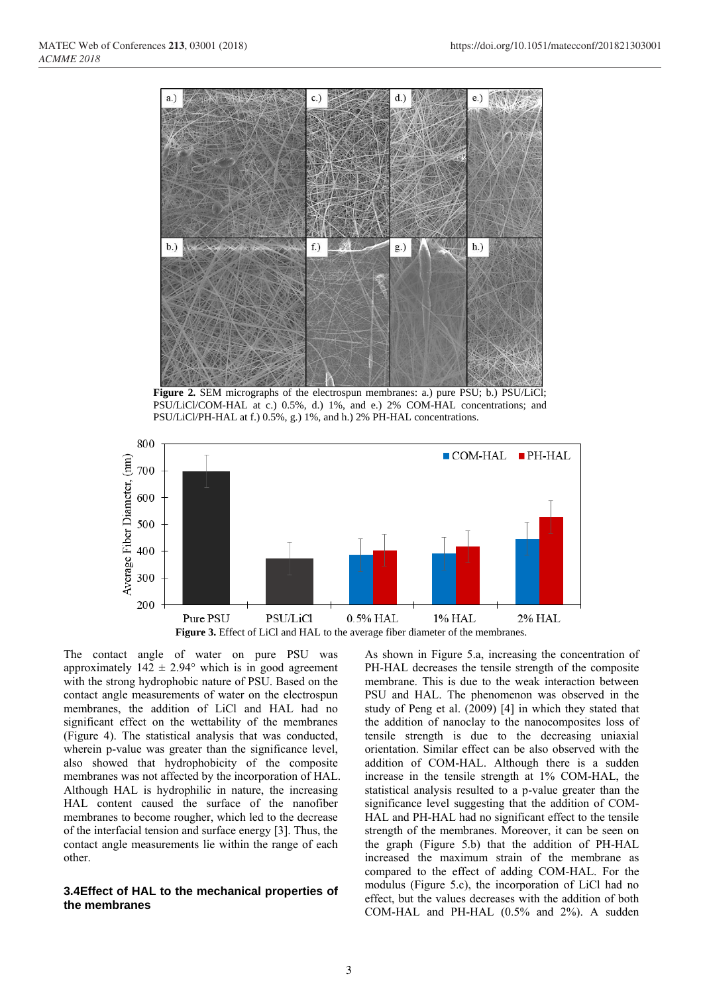

**Figure 2.** SEM micrographs of the electrospun membranes: a.) pure PSU; b.) PSU/LiCl; PSU/LiCl/COM-HAL at c.) 0.5%, d.) 1%, and e.) 2% COM-HAL concentrations; and PSU/LiCl/PH-HAL at f.) 0.5%, g.) 1%, and h.) 2% PH-HAL concentrations.



The contact angle of water on pure PSU was approximately  $142 \pm 2.94^{\circ}$  which is in good agreement with the strong hydrophobic nature of PSU. Based on the contact angle measurements of water on the electrospun membranes, the addition of LiCl and HAL had no significant effect on the wettability of the membranes (Figure 4). The statistical analysis that was conducted, wherein p-value was greater than the significance level, also showed that hydrophobicity of the composite membranes was not affected by the incorporation of HAL. Although HAL is hydrophilic in nature, the increasing HAL content caused the surface of the nanofiber membranes to become rougher, which led to the decrease of the interfacial tension and surface energy [3]. Thus, the contact angle measurements lie within the range of each other.

#### **3.4Effect of HAL to the mechanical properties of the membranes**

As shown in Figure 5.a, increasing the concentration of PH-HAL decreases the tensile strength of the composite membrane. This is due to the weak interaction between PSU and HAL. The phenomenon was observed in the study of Peng et al. (2009) [4] in which they stated that the addition of nanoclay to the nanocomposites loss of tensile strength is due to the decreasing uniaxial orientation. Similar effect can be also observed with the addition of COM-HAL. Although there is a sudden increase in the tensile strength at 1% COM-HAL, the statistical analysis resulted to a p-value greater than the significance level suggesting that the addition of COM-HAL and PH-HAL had no significant effect to the tensile strength of the membranes. Moreover, it can be seen on the graph (Figure 5.b) that the addition of PH-HAL increased the maximum strain of the membrane as compared to the effect of adding COM-HAL. For the modulus (Figure 5.c), the incorporation of LiCl had no effect, but the values decreases with the addition of both COM-HAL and PH-HAL (0.5% and 2%). A sudden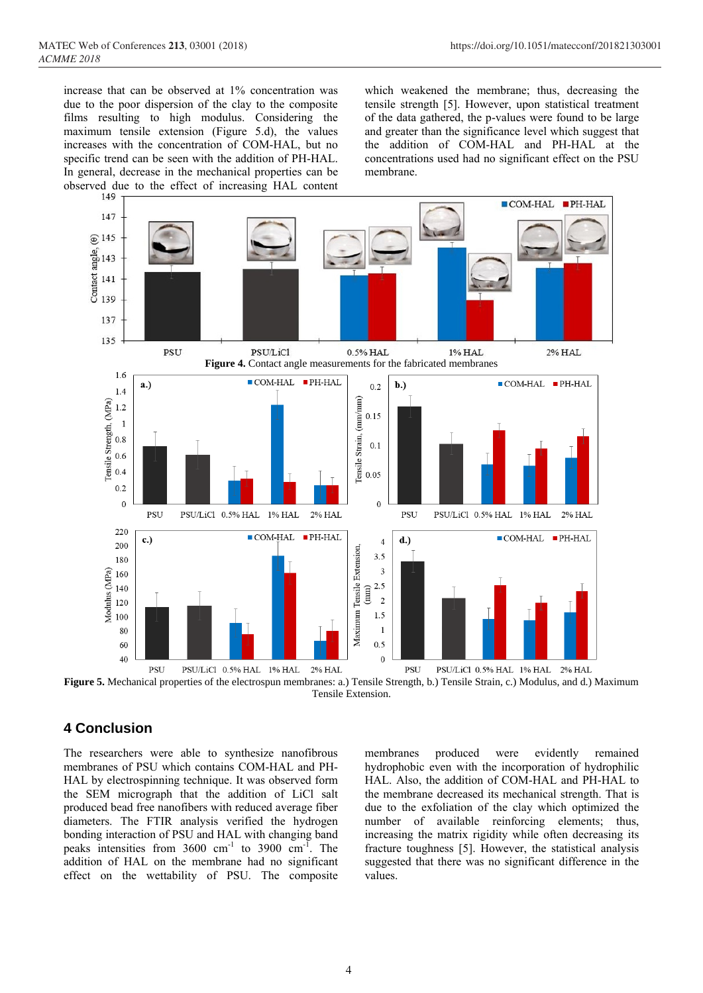increase that can be observed at 1% concentration was due to the poor dispersion of the clay to the composite films resulting to high modulus. Considering the maximum tensile extension (Figure 5.d), the values increases with the concentration of COM-HAL, but no specific trend can be seen with the addition of PH-HAL. In general, decrease in the mechanical properties can be observed due to the effect of increasing HAL content

which weakened the membrane; thus, decreasing the tensile strength [5]. However, upon statistical treatment of the data gathered, the p-values were found to be large and greater than the significance level which suggest that the addition of COM-HAL and PH-HAL at the concentrations used had no significant effect on the PSU membrane.



**Figure 5.** Mechanical properties of the electrospun membranes: a.) Tensile Strength, b.) Tensile Strain, c.) Modulus, and d.) Maximum Tensile Extension.

## **4 Conclusion**

The researchers were able to synthesize nanofibrous membranes of PSU which contains COM-HAL and PH-HAL by electrospinning technique. It was observed form the SEM micrograph that the addition of LiCl salt produced bead free nanofibers with reduced average fiber diameters. The FTIR analysis verified the hydrogen bonding interaction of PSU and HAL with changing band peaks intensities from  $3600 \text{ cm}^{-1}$  to  $3900 \text{ cm}^{-1}$ . The addition of HAL on the membrane had no significant effect on the wettability of PSU. The composite

membranes produced were evidently remained hydrophobic even with the incorporation of hydrophilic HAL. Also, the addition of COM-HAL and PH-HAL to the membrane decreased its mechanical strength. That is due to the exfoliation of the clay which optimized the number of available reinforcing elements; thus, increasing the matrix rigidity while often decreasing its fracture toughness [5]. However, the statistical analysis suggested that there was no significant difference in the values.